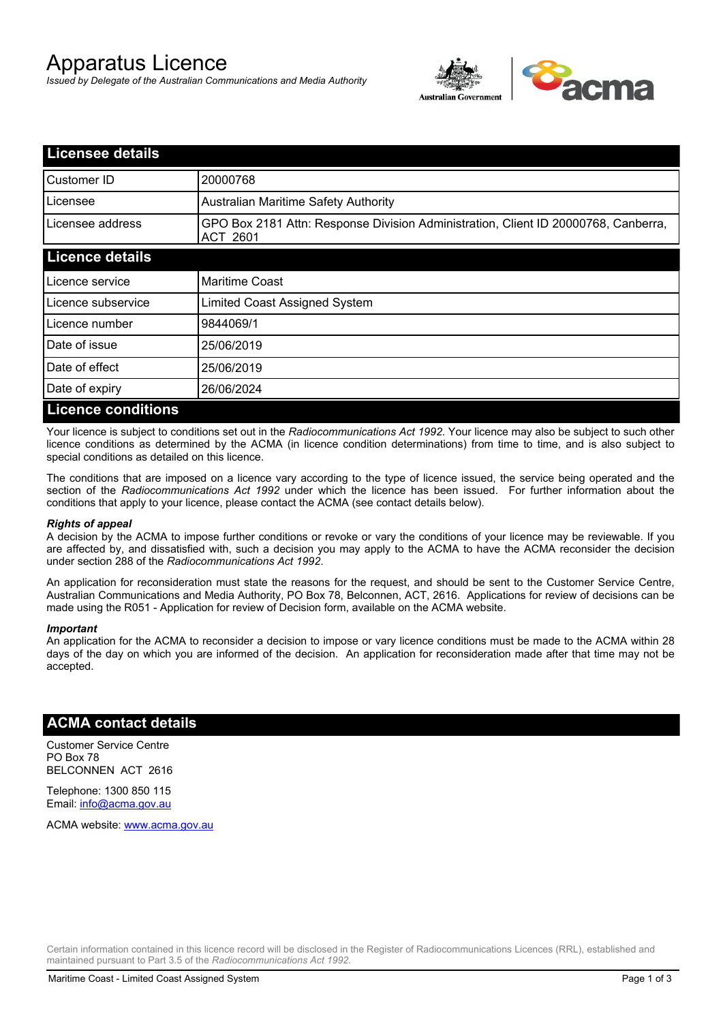# Apparatus Licence

*Issued by Delegate of the Australian Communications and Media Authority*



| <b>Licensee details</b>   |                                                                                                |
|---------------------------|------------------------------------------------------------------------------------------------|
| Customer ID               | 20000768                                                                                       |
| Licensee                  | <b>Australian Maritime Safety Authority</b>                                                    |
| Licensee address          | GPO Box 2181 Attn: Response Division Administration, Client ID 20000768, Canberra,<br>ACT 2601 |
| <b>Licence details</b>    |                                                                                                |
| Licence service           | <b>Maritime Coast</b>                                                                          |
| Licence subservice        | Limited Coast Assigned System                                                                  |
| Licence number            | 9844069/1                                                                                      |
| Date of issue             | 25/06/2019                                                                                     |
| Date of effect            | 25/06/2019                                                                                     |
| Date of expiry            | 26/06/2024                                                                                     |
| <b>Licence conditions</b> |                                                                                                |

Your licence is subject to conditions set out in the *Radiocommunications Act 1992*. Your licence may also be subject to such other licence conditions as determined by the ACMA (in licence condition determinations) from time to time, and is also subject to special conditions as detailed on this licence.

The conditions that are imposed on a licence vary according to the type of licence issued, the service being operated and the section of the *Radiocommunications Act 1992* under which the licence has been issued. For further information about the conditions that apply to your licence, please contact the ACMA (see contact details below).

#### *Rights of appeal*

A decision by the ACMA to impose further conditions or revoke or vary the conditions of your licence may be reviewable. If you are affected by, and dissatisfied with, such a decision you may apply to the ACMA to have the ACMA reconsider the decision under section 288 of the *Radiocommunications Act 1992*.

An application for reconsideration must state the reasons for the request, and should be sent to the Customer Service Centre, Australian Communications and Media Authority, PO Box 78, Belconnen, ACT, 2616. Applications for review of decisions can be made using the R051 - Application for review of Decision form, available on the ACMA website.

#### *Important*

An application for the ACMA to reconsider a decision to impose or vary licence conditions must be made to the ACMA within 28 days of the day on which you are informed of the decision. An application for reconsideration made after that time may not be accepted.

### **ACMA contact details**

Customer Service Centre PO Box 78 BELCONNEN ACT 2616

Telephone: 1300 850 115 Email: info@acma.gov.au

ACMA website: www.acma.gov.au

Certain information contained in this licence record will be disclosed in the Register of Radiocommunications Licences (RRL), established and maintained pursuant to Part 3.5 of the *Radiocommunications Act 1992.*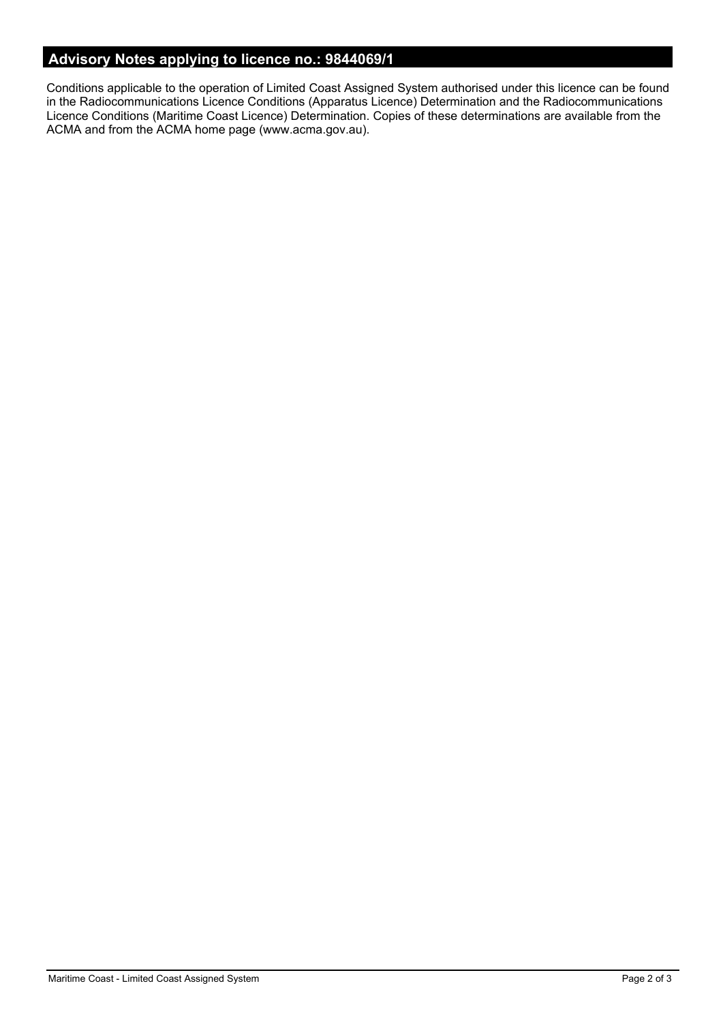# **Advisory Notes applying to licence no.: 9844069/1**

Conditions applicable to the operation of Limited Coast Assigned System authorised under this licence can be found in the Radiocommunications Licence Conditions (Apparatus Licence) Determination and the Radiocommunications Licence Conditions (Maritime Coast Licence) Determination. Copies of these determinations are available from the ACMA and from the ACMA home page (www.acma.gov.au).